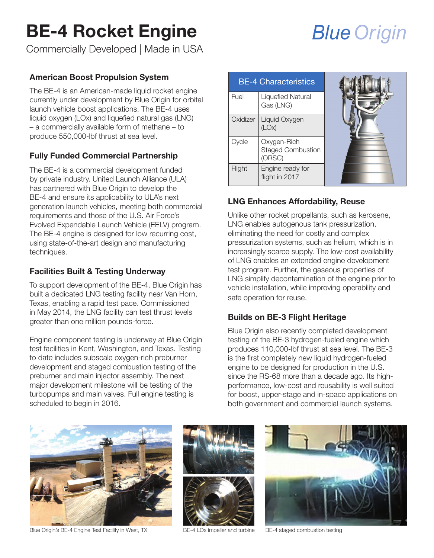### BE-4 Rocket Engine

Commercially Developed | Made in USA

#### American Boost Propulsion System

The BE-4 is an American-made liquid rocket engine currently under development by Blue Origin for orbital launch vehicle boost applications. The BE-4 uses liquid oxygen (LOx) and liquefied natural gas (LNG) – a commercially available form of methane – to produce 550,000-lbf thrust at sea level.

#### Fully Funded Commercial Partnership

The BE-4 is a commercial development funded by private industry. United Launch Alliance (ULA) has partnered with Blue Origin to develop the BE-4 and ensure its applicability to ULA's next generation launch vehicles, meeting both commercial requirements and those of the U.S. Air Force's Evolved Expendable Launch Vehicle (EELV) program. The BE-4 engine is designed for low recurring cost, using state-of-the-art design and manufacturing techniques.

#### Facilities Built & Testing Underway

To support development of the BE-4, Blue Origin has built a dedicated LNG testing facility near Van Horn, Texas, enabling a rapid test pace. Commissioned in May 2014, the LNG facility can test thrust levels greater than one million pounds-force.

Engine component testing is underway at Blue Origin test facilities in Kent, Washington, and Texas. Testing to date includes subscale oxygen-rich preburner development and staged combustion testing of the preburner and main injector assembly. The next major development milestone will be testing of the turbopumps and main valves. Full engine testing is scheduled to begin in 2016.

| <b>BE-4 Characteristics</b> |                                                   |  |
|-----------------------------|---------------------------------------------------|--|
| Fuel                        | <b>Liquefied Natural</b><br>Gas (LNG)             |  |
| Oxidizer                    | Liquid Oxygen<br>(LOx)                            |  |
| Cycle                       | Oxygen-Rich<br><b>Staged Combustion</b><br>(ORSC) |  |
| Flight                      | Engine ready for<br>flight in 2017                |  |

#### LNG Enhances Affordability, Reuse

Unlike other rocket propellants, such as kerosene, LNG enables autogenous tank pressurization, eliminating the need for costly and complex pressurization systems, such as helium, which is in increasingly scarce supply. The low-cost availability of LNG enables an extended engine development test program. Further, the gaseous properties of LNG simplify decontamination of the engine prior to vehicle installation, while improving operability and safe operation for reuse.

#### Builds on BE-3 Flight Heritage

Blue Origin also recently completed development testing of the BE-3 hydrogen-fueled engine which produces 110,000-lbf thrust at sea level. The BE-3 is the first completely new liquid hydrogen-fueled engine to be designed for production in the U.S. since the RS-68 more than a decade ago. Its highperformance, low-cost and reusability is well suited for boost, upper-stage and in-space applications on both government and commercial launch systems.



Blue Origin's BE-4 Engine Test Facility in West, TX BE-4 LOx impeller and turbine BE-4 staged combustion testing





## **Blue Origin**